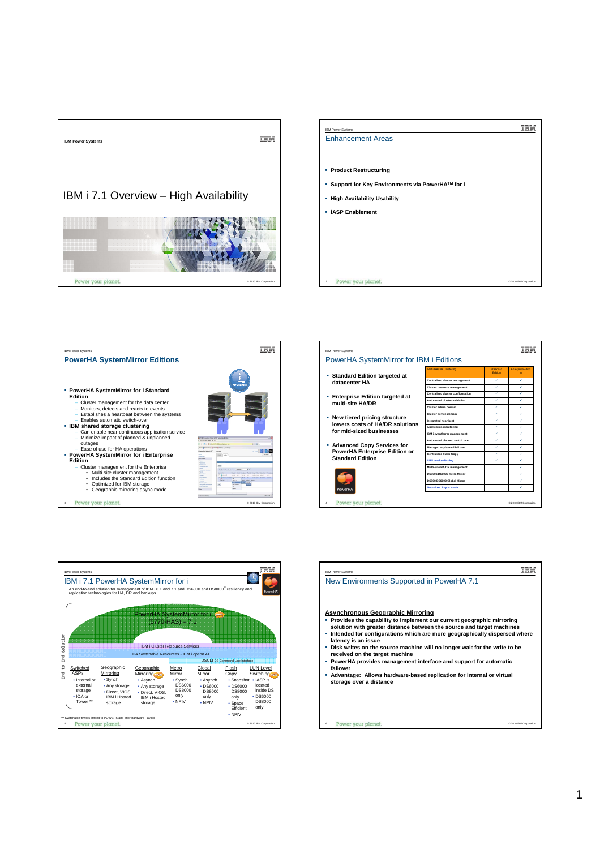











Power your plan 6

© 2010 IBM Corporation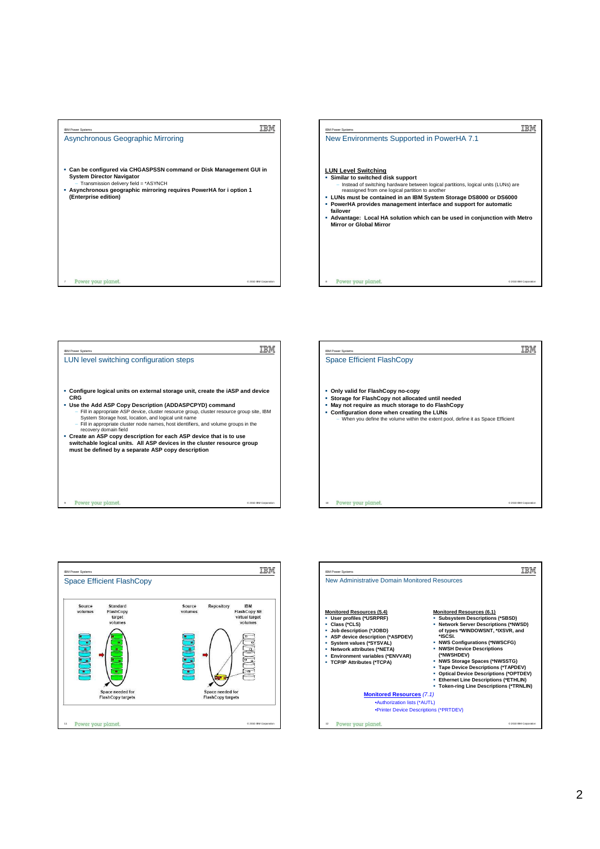



**TEM** IBM Power Systems LUN level switching configuration steps **Configure logical units on external storage unit, create the iASP and device**  CRG<br>
• Use the Add ASP Copy Description (ADDASPCPYD) command<br>
- Fill in appropriate ASP device, cluster resource group, cluster resource group site, IBM<br>
System Storage host, location, and logical unit name<br>
- Fill in appr **switchable logical units. All ASP devices in the cluster resource group must be defined by a separate ASP copy description** Power your planet © 2010 IBM Corporation